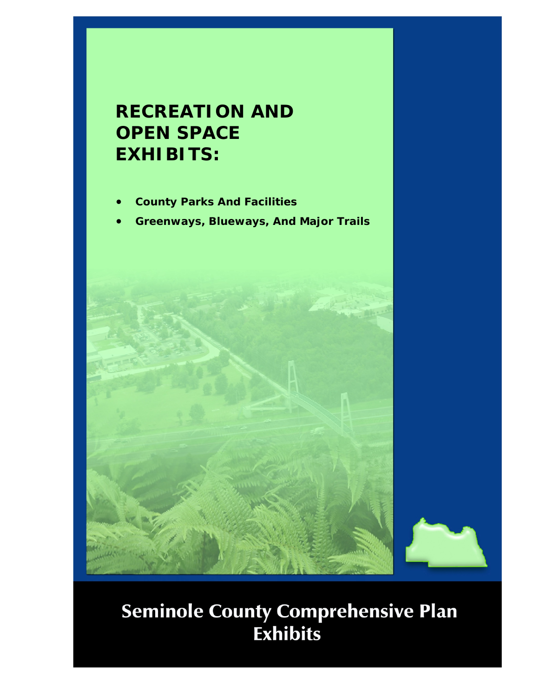## **RECREATION AND OPEN SPACE EXHIBITS:**

- **County Parks And Facilities**
- **Greenways, Blueways, And Major Trails**



## **Seminole County Comprehensive Plan<br>Exhibits**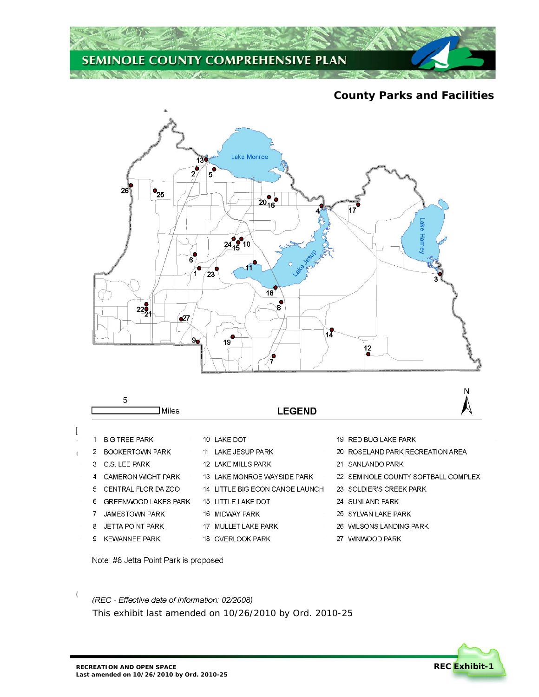

## **County Parks and Facilities**



- 14 LITTLE BIG ECON CANOE LAUNCH 23 SOLDIER'S CREEK PARK
	- 24 SUNLAND PARK
	- !<sup>3</sup> SUNLAND PARK ZU UTEVAN
		- 26 WILSONS LANDING PARK
		- 27 WINWOOD PARK

Note: #8 Jetta Point Park is proposed

5 CENTRAL FLORIDA ZOO 6 GREENWOOD LAKES PARK

!<sup>5</sup> CENTRAL FLORIDA ZOO !<sup>6</sup> GREENWOOD LAKES PARK 8 JETTA POINT PARK 9 KEWANNEE PARK

 $\mathsf{I}$ 

**Last amended on 10/26/2010 by Ord. 2010-25** 

*(REC - Effective date of information: 02/2008) This exhibit last amended on 10/26/2010 by Ord. 2010-25*

15 LITTLE LAKE DOT

17 MULLET LAKE PARK 18 OVERLOOK PARK

 $\frac{1}{16}$  little lake  $\frac{1}{16}$ IN MIDWAY